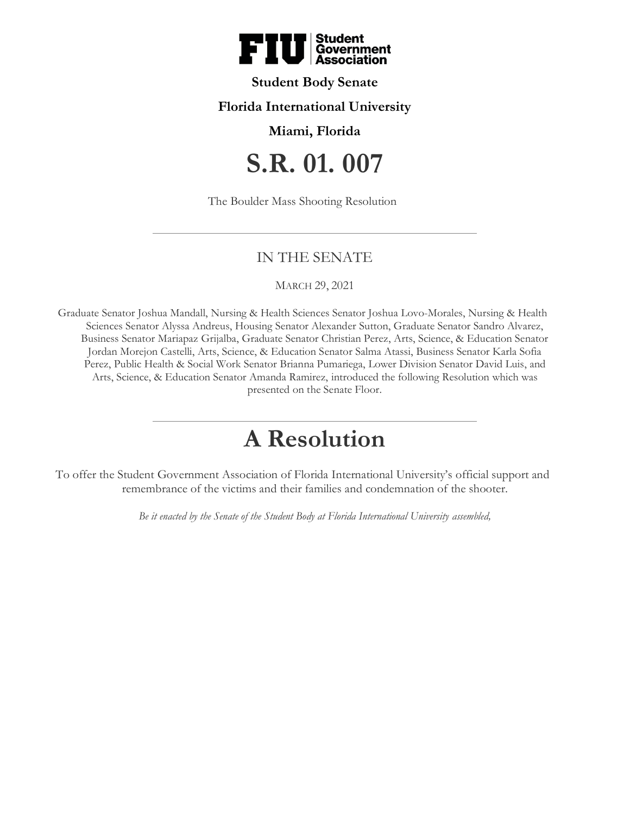

## **Student Body Senate**

## **Florida International University**

### **Miami, Florida**

# **S.R. 01. 007**

The Boulder Mass Shooting Resolution

## IN THE SENATE

#### MARCH 29, 2021

Graduate Senator Joshua Mandall, Nursing & Health Sciences Senator Joshua Lovo-Morales, Nursing & Health Sciences Senator Alyssa Andreus, Housing Senator Alexander Sutton, Graduate Senator Sandro Alvarez, Business Senator Mariapaz Grijalba, Graduate Senator Christian Perez, Arts, Science, & Education Senator Jordan Morejon Castelli, Arts, Science, & Education Senator Salma Atassi, Business Senator Karla Sofia Perez, Public Health & Social Work Senator Brianna Pumariega, Lower Division Senator David Luis, and Arts, Science, & Education Senator Amanda Ramirez, introduced the following Resolution which was presented on the Senate Floor.

# **A Resolution**

To offer the Student Government Association of Florida International University's official support and remembrance of the victims and their families and condemnation of the shooter.

*Be it enacted by the Senate of the Student Body at Florida International University assembled,*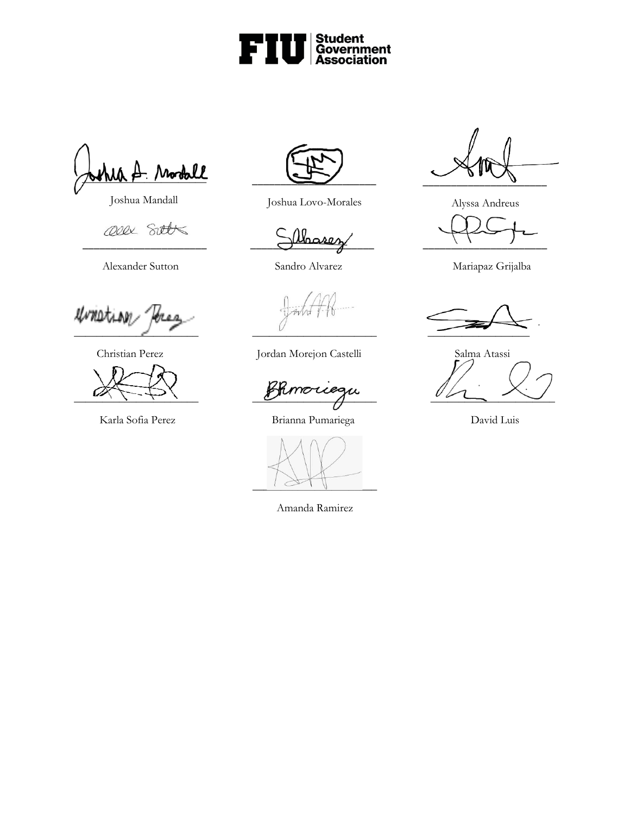

\_\_\_\_\_\_\_\_\_\_\_\_\_\_\_\_\_\_\_\_\_\_

Joshua Mandall

Ollx Sitts

Alexander Sutton Sandro Alvarez Mariapaz Grijalba

unietion  $\frac{1}{\sqrt{2\pi}}$ 





Joshua Lovo-Morales

 $\supset \emptyset$ lbases

Christian Perez Jordan Morejon Castelli Salma Atassi

 $\underline{\mathcal{L}}$ 

Karla Sofia Perez Brianna Pumariega David Luis



Amanda Ramirez

 $\overline{\phantom{a}}$ 

Alyssa Andreus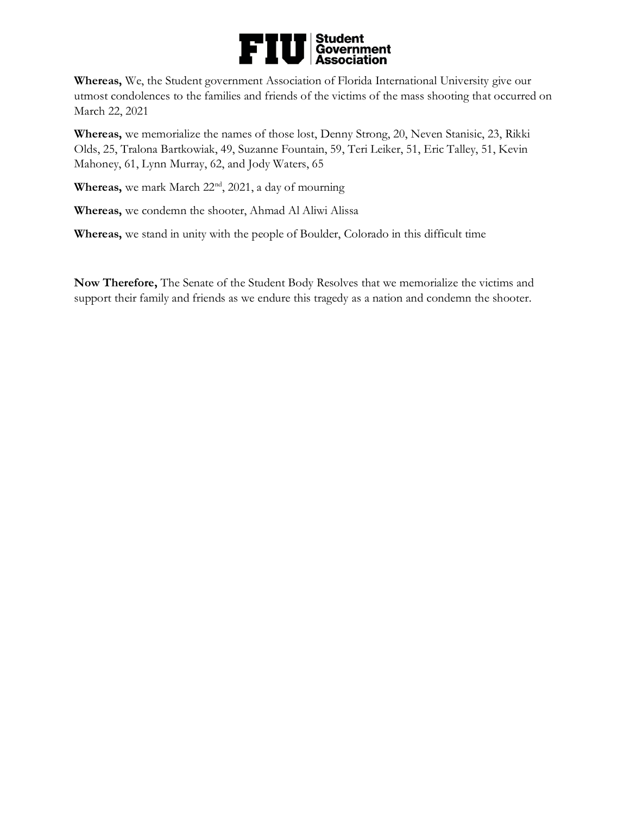

**Whereas,** We, the Student government Association of Florida International University give our utmost condolences to the families and friends of the victims of the mass shooting that occurred on March 22, 2021

**Whereas,** we memorialize the names of those lost, Denny Strong, 20, Neven Stanisic, 23, Rikki Olds, 25, Tralona Bartkowiak, 49, Suzanne Fountain, 59, Teri Leiker, 51, Eric Talley, 51, Kevin Mahoney, 61, Lynn Murray, 62, and Jody Waters, 65

Whereas, we mark March 22<sup>nd</sup>, 2021, a day of mourning

**Whereas,** we condemn the shooter, Ahmad Al Aliwi Alissa

**Whereas,** we stand in unity with the people of Boulder, Colorado in this difficult time

**Now Therefore,** The Senate of the Student Body Resolves that we memorialize the victims and support their family and friends as we endure this tragedy as a nation and condemn the shooter.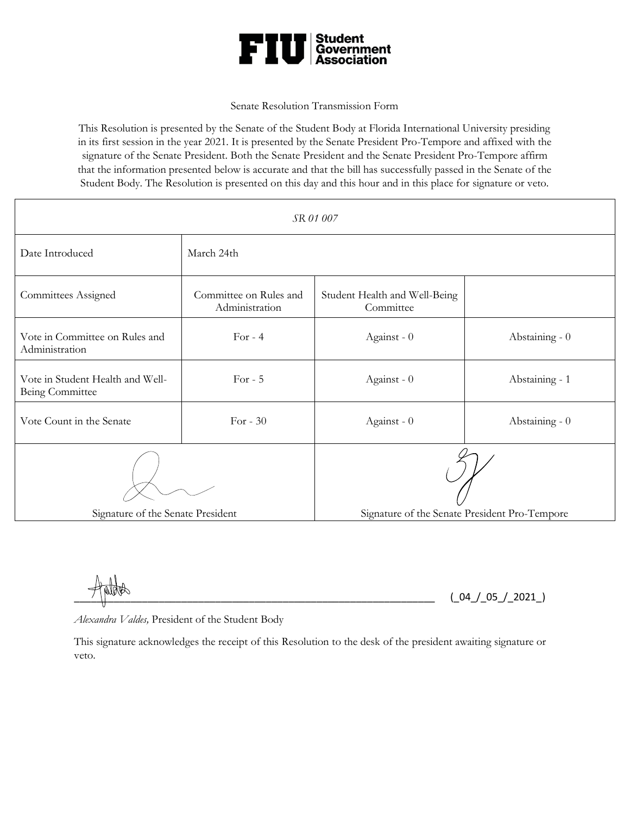

#### Senate Resolution Transmission Form

This Resolution is presented by the Senate of the Student Body at Florida International University presiding in its first session in the year 2021. It is presented by the Senate President Pro-Tempore and affixed with the signature of the Senate President. Both the Senate President and the Senate President Pro-Tempore affirm that the information presented below is accurate and that the bill has successfully passed in the Senate of the Student Body. The Resolution is presented on this day and this hour and in this place for signature or veto.

| SR 01 007                                           |                                          |                                               |                |
|-----------------------------------------------------|------------------------------------------|-----------------------------------------------|----------------|
| Date Introduced                                     | March 24th                               |                                               |                |
| Committees Assigned                                 | Committee on Rules and<br>Administration | Student Health and Well-Being<br>Committee    |                |
| Vote in Committee on Rules and<br>Administration    | For $-4$                                 | Against - 0                                   | Abstaining - 0 |
| Vote in Student Health and Well-<br>Being Committee | For $-5$                                 | Against - 0                                   | Abstaining - 1 |
| Vote Count in the Senate                            | For $-30$                                | Against - 0                                   | Abstaining - 0 |
|                                                     |                                          |                                               |                |
| Signature of the Senate President                   |                                          | Signature of the Senate President Pro-Tempore |                |

 $(\_04\_05\_22021)$ 

*Alexandra Valdes,* President of the Student Body

This signature acknowledges the receipt of this Resolution to the desk of the president awaiting signature or veto.